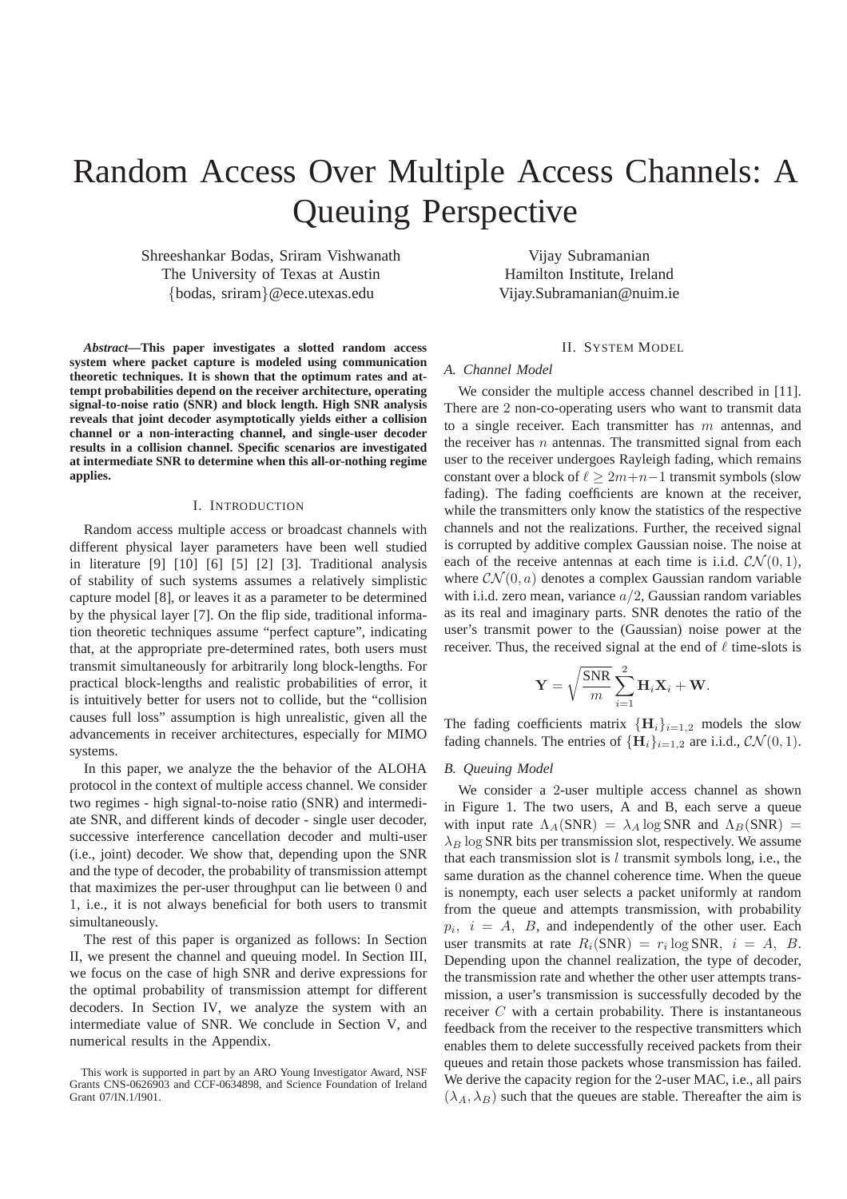# Random Access Over Multiple Access Channels: A Queuing Perspective

Shreeshankar Bodas, Sriram Vishwanath The University of Texas at Austin {bodas, sriram}@ece.utexas.edu

*Abstract***—This paper investigates a slotted random access system where packet capture is modeled using communication theoretic techniques. It is shown that the optimum rates and attempt probabilities depend on the receiver architecture, operating signal-to-noise ratio (SNR) and block length. High SNR analysis reveals that joint decoder asymptotically yields either a collision channel or a non-interacting channel, and single-user decoder results in a collision channel. Specific scenarios are investigated at intermediate SNR to determine when this all-or-nothing regime applies.**

# I. INTRODUCTION

Random access multiple access or broadcast channels with different physical layer parameters have been well studied in literature [9] [10] [6] [5] [2] [3]. Traditional analysis of stability of such systems assumes a relatively simplistic capture model [8], or leaves it as a parameter to be determined by the physical layer [7]. On the flip side, traditional information theoretic techniques assume "perfect capture", indicating that, at the appropriate pre-determined rates, both users must transmit simultaneously for arbitrarily long block-lengths. For practical block-lengths and realistic probabilities of error, it is intuitively better for users not to collide, but the "collision causes full loss" assumption is high unrealistic, given all the advancements in receiver architectures, especially for MIMO systems.

In this paper, we analyze the the behavior of the ALOHA protocol in the context of multiple access channel. We consider two regimes - high signal-to-noise ratio (SNR) and intermediate SNR, and different kinds of decoder - single user decoder, successive interference cancellation decoder and multi-user (i.e., joint) decoder. We show that, depending upon the SNR and the type of decoder, the probability of transmission attempt that maximizes the per-user throughput can lie between 0 and 1, i.e., it is not always beneficial for both users to transmit simultaneously.

The rest of this paper is organized as follows: In Section II, we present the channel and queuing model. In Section III, we focus on the case of high SNR and derive expressions for the optimal probability of transmission attempt for different decoders. In Section IV, we analyze the system with an intermediate value of SNR. We conclude in Section V, and numerical results in the Appendix.

Vijay Subramanian Hamilton Institute, Ireland Vijay.Subramanian@nuim.ie

## II. SYSTEM MODEL

## *A. Channel Model*

We consider the multiple access channel described in [11]. There are 2 non-co-operating users who want to transmit data to a single receiver. Each transmitter has  $m$  antennas, and the receiver has  $n$  antennas. The transmitted signal from each user to the receiver undergoes Rayleigh fading, which remains constant over a block of  $\ell \geq 2m+n-1$  transmit symbols (slow fading). The fading coefficients are known at the receiver, while the transmitters only know the statistics of the respective channels and not the realizations. Further, the received signal is corrupted by additive complex Gaussian noise. The noise at each of the receive antennas at each time is i.i.d.  $CN(0, 1)$ , where  $CN(0, a)$  denotes a complex Gaussian random variable with i.i.d. zero mean, variance  $a/2$ , Gaussian random variables as its real and imaginary parts. SNR denotes the ratio of the user's transmit power to the (Gaussian) noise power at the receiver. Thus, the received signal at the end of  $\ell$  time-slots is

$$
\mathbf{Y} = \sqrt{\frac{\text{SNR}}{m}} \sum_{i=1}^{2} \mathbf{H}_i \mathbf{X}_i + \mathbf{W}.
$$

The fading coefficients matrix  ${H_i}_{i=1,2}$  models the slow fading channels. The entries of  ${H_i}_{i=1,2}$  are i.i.d.,  $CN(0, 1)$ .

# *B. Queuing Model*

We consider a 2-user multiple access channel as shown in Figure 1. The two users, A and B, each serve a queue with input rate  $\Lambda_A(SNR) = \lambda_A \log SNR$  and  $\Lambda_B(SNR) =$  $\lambda_B$  log SNR bits per transmission slot, respectively. We assume that each transmission slot is  $l$  transmit symbols long, i.e., the same duration as the channel coherence time. When the queue is nonempty, each user selects a packet uniformly at random from the queue and attempts transmission, with probability  $p_i$ ,  $i = A$ ,  $B$ , and independently of the other user. Each user transmits at rate  $R_i(SNR) = r_i \log SNR$ ,  $i = A$ ,  $B$ . Depending upon the channel realization, the type of decoder, the transmission rate and whether the other user attempts transmission, a user's transmission is successfully decoded by the receiver C with a certain probability. There is instantaneous feedback from the receiver to the respective transmitters which enables them to delete successfully received packets from their queues and retain those packets whose transmission has failed. We derive the capacity region for the 2-user MAC, i.e., all pairs  $(\lambda_A, \lambda_B)$  such that the queues are stable. Thereafter the aim is

This work is supported in part by an ARO Young Investigator Award, NSF Grants CNS-0626903 and CCF-0634898, and Science Foundation of Ireland Grant 07/IN.1/I901.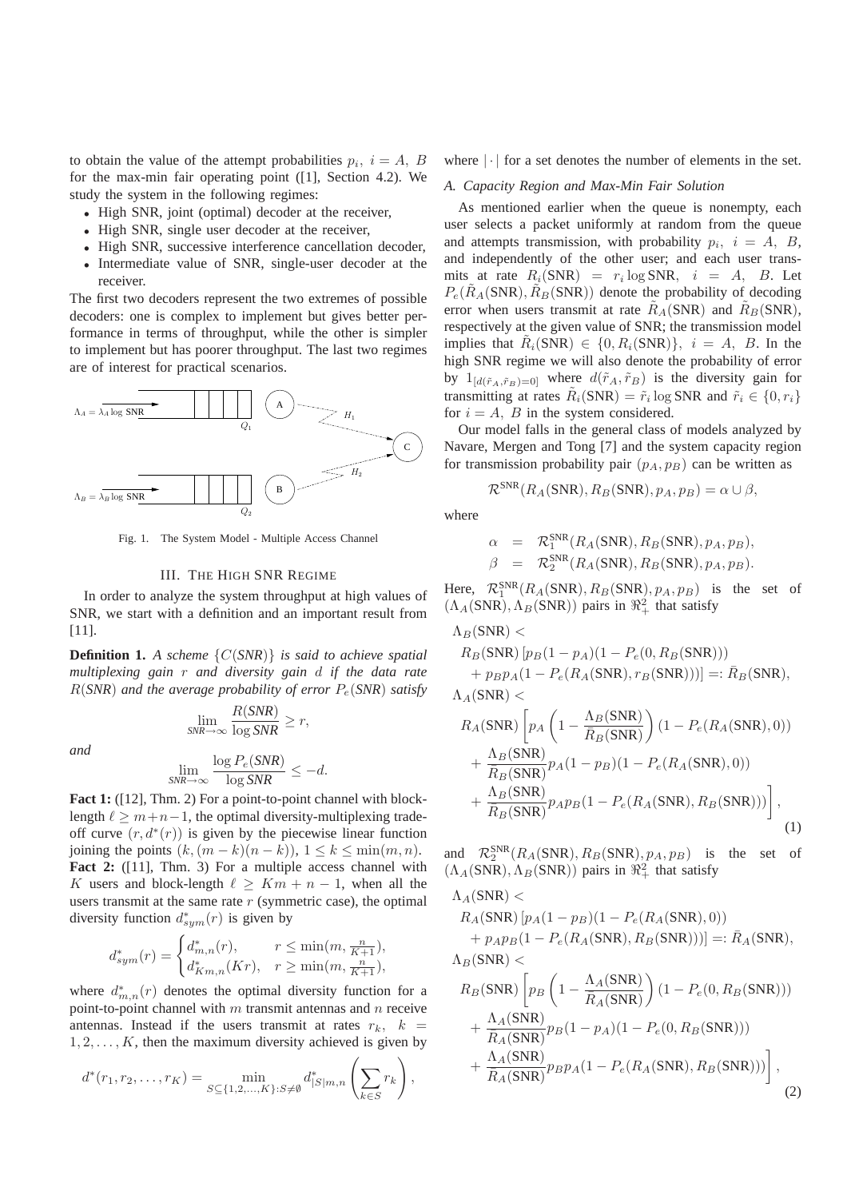to obtain the value of the attempt probabilities  $p_i$ ,  $i = A$ , B for the max-min fair operating point ([1], Section 4.2). We study the system in the following regimes:

- High SNR, joint (optimal) decoder at the receiver,
- High SNR, single user decoder at the receiver,
- High SNR, successive interference cancellation decoder,
- Intermediate value of SNR, single-user decoder at the receiver.

The first two decoders represent the two extremes of possible decoders: one is complex to implement but gives better performance in terms of throughput, while the other is simpler to implement but has poorer throughput. The last two regimes are of interest for practical scenarios.



Fig. 1. The System Model - Multiple Access Channel

## III. THE HIGH SNR REGIME

In order to analyze the system throughput at high values of SNR, we start with a definition and an important result from [11].

**Definition 1.** *A scheme* {C(*SNR*)} *is said to achieve spatial multiplexing gain* r *and diversity gain* d *if the data rate*  $R(SNR)$  *and the average probability of error*  $P_e(SNR)$  *satisfy* 

> R(*SNR*)  $\frac{1}{\log SNR} \geq r,$

*and*

$$
\lim_{SNR \to \infty} \frac{\log P_e(SNR)}{\log SNR} \le -d.
$$

lim *SNR*→∞

**Fact 1:** ([12], Thm. 2) For a point-to-point channel with blocklength  $\ell \geq m+n-1$ , the optimal diversity-multiplexing tradeoff curve  $(r, d^*(r))$  is given by the piecewise linear function joining the points  $(k,(m-k)(n-k))$ ,  $1 \leq k \leq \min(m,n)$ . **Fact 2:** ([11], Thm. 3) For a multiple access channel with K users and block-length  $\ell \geq Km + n - 1$ , when all the users transmit at the same rate  $r$  (symmetric case), the optimal diversity function  $d^*_{sym}(r)$  is given by

$$
d_{sym}^*(r) = \begin{cases} d_{m,n}^*(r), & r \le \min(m, \frac{n}{K+1}), \\ d_{Km,n}^*(Kr), & r \ge \min(m, \frac{n}{K+1}), \end{cases}
$$

where  $d_{m,n}^*(r)$  denotes the optimal diversity function for a point-to-point channel with  $m$  transmit antennas and  $n$  receive antennas. Instead if the users transmit at rates  $r_k$ ,  $k =$  $1, 2, \ldots, K$ , then the maximum diversity achieved is given by

$$
d^*(r_1, r_2, \dots, r_K) = \min_{S \subseteq \{1, 2, \dots, K\}: S \neq \emptyset} d^*_{|S|m,n} \left( \sum_{k \in S} r_k \right),
$$

where  $|\cdot|$  for a set denotes the number of elements in the set.

## *A. Capacity Region and Max-Min Fair Solution*

As mentioned earlier when the queue is nonempty, each user selects a packet uniformly at random from the queue and attempts transmission, with probability  $p_i$ ,  $i = A, B$ , and independently of the other user; and each user transmits at rate  $R_i(SNR) = r_i \log SNR$ ,  $i = A$ , B. Let  $P_e(\tilde{R}_A(SNR), \tilde{R}_B(SNR))$  denote the probability of decoding error when users transmit at rate  $\tilde{R}_A(SNR)$  and  $\tilde{R}_B(SNR)$ , respectively at the given value of SNR; the transmission model implies that  $\tilde{R}_i(SNR) \in \{0, R_i(SNR)\}, i = A, B$ . In the high SNR regime we will also denote the probability of error by  $1_{[d(\tilde{r}_A, \tilde{r}_B)=0]}$  where  $d(\tilde{r}_A, \tilde{r}_B)$  is the diversity gain for transmitting at rates  $\tilde{R}_i(SNR) = \tilde{r}_i \log SNR$  and  $\tilde{r}_i \in \{0, r_i\}$ for  $i = A$ , B in the system considered.

Our model falls in the general class of models analyzed by Navare, Mergen and Tong [7] and the system capacity region for transmission probability pair  $(p_A, p_B)$  can be written as

$$
\mathcal{R}^{\text{SNR}}(R_A(\text{SNR}), R_B(\text{SNR}), p_A, p_B) = \alpha \cup \beta,
$$

where

$$
\alpha = \mathcal{R}_1^{\text{SNR}}(R_A(\text{SNR}), R_B(\text{SNR}), p_A, p_B),
$$
  

$$
\beta = \mathcal{R}_2^{\text{SNR}}(R_A(\text{SNR}), R_B(\text{SNR}), p_A, p_B).
$$

Here,  $\mathcal{R}_1^{\text{SNR}}(R_A(\text{SNR}), R_B(\text{SNR}), p_A, p_B)$  is the set of  $(\Lambda_A(SNR), \Lambda_B(SNR))$  pairs in  $\Re^2_+$  that satisfy

$$
\Lambda_B(\text{SNR}) \nR_B(\text{SNR}) [p_B(1 - p_A)(1 - P_e(0, R_B(\text{SNR})))\n+ p_B p_A(1 - P_e(R_A(\text{SNR}), r_B(\text{SNR})))]=: \bar{R}_B(\text{SNR}),
$$
\n
$$
\Lambda_A(\text{SNR}) \nR_A(\text{SNR}) [p_A \left(1 - \frac{\Lambda_B(\text{SNR})}{\bar{R}_B(\text{SNR})}\right) (1 - P_e(R_A(\text{SNR}), 0))\n+ \frac{\Lambda_B(\text{SNR})}{\bar{R}_B(\text{SNR})} p_A(1 - p_B)(1 - P_e(R_A(\text{SNR}), 0))\n+ \frac{\Lambda_B(\text{SNR})}{\bar{R}_B(\text{SNR})} p_A p_B(1 - P_e(R_A(\text{SNR}), R_B(\text{SNR})))
$$
\n(1)

and  $\mathcal{R}_2^{\text{SNR}}(R_A(\text{SNR}), R_B(\text{SNR}), p_A, p_B)$  is the set of  $(\Lambda_A(SNR), \Lambda_B(SNR))$  pairs in  $\Re^2_+$  that satisfy

$$
\Lambda_A(\text{SNR}) \nR_A(\text{SNR}) [p_A(1 - p_B)(1 - P_e(R_A(\text{SNR}), 0))\n+ p_A p_B(1 - P_e(R_A(\text{SNR}), R_B(\text{SNR})))] =: \bar{R}_A(\text{SNR}),
$$
\n
$$
\Lambda_B(\text{SNR}) \nR_B(\text{SNR}) [p_B\left(1 - \frac{\Lambda_A(\text{SNR})}{\bar{R}_A(\text{SNR})}\right) (1 - P_e(0, R_B(\text{SNR})))\n+ \frac{\Lambda_A(\text{SNR})}{\bar{R}_A(\text{SNR})} p_B(1 - p_A)(1 - P_e(0, R_B(\text{SNR})))\n+ \frac{\Lambda_A(\text{SNR})}{\bar{R}_A(\text{SNR})} p_B p_A(1 - P_e(R_A(\text{SNR}), R_B(\text{SNR})))],
$$
\n(2)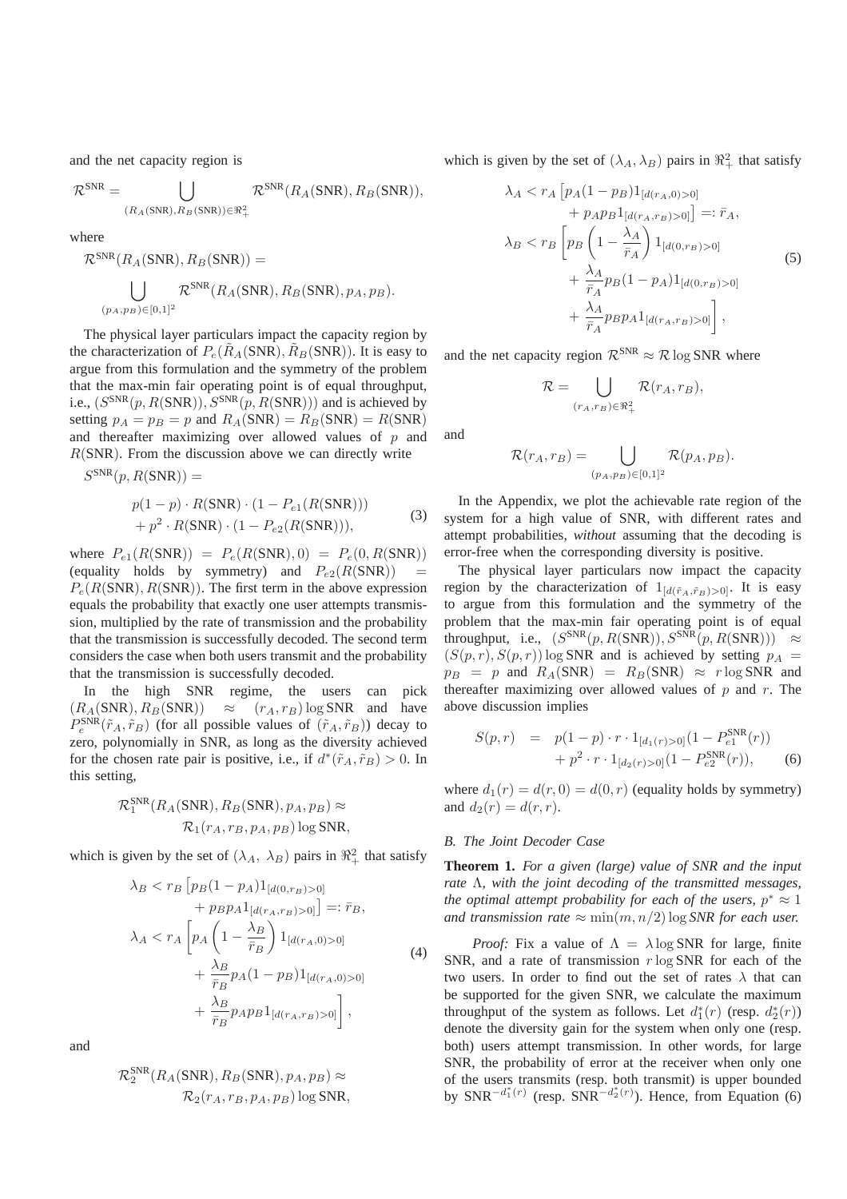and the net capacity region is

$$
\mathcal{R}^{\text{SNR}} = \bigcup_{(R_A(\text{SNR}), R_B(\text{SNR})) \in \Re^2_+} \mathcal{R}^{\text{SNR}}(R_A(\text{SNR}), R_B(\text{SNR})),
$$

where

$$
\mathcal{R}^{\text{SNR}}(R_A(\text{SNR}), R_B(\text{SNR})) =
$$
  

$$
\bigcup_{(p_A, p_B) \in [0,1]^2} \mathcal{R}^{\text{SNR}}(R_A(\text{SNR}), R_B(\text{SNR}), p_A, p_B).
$$

The physical layer particulars impact the capacity region by the characterization of  $P_e(\tilde{R}_A(SNR), \tilde{R}_B(SNR))$ . It is easy to argue from this formulation and the symmetry of the problem that the max-min fair operating point is of equal throughput, i.e.,  $(S^{SNR}(p, R(SNR)), S^{SNR}(p, R(SNR)))$  and is achieved by setting  $p_A = p_B = p$  and  $R_A(SNR) = R_B(SNR) = R(SNR)$ and thereafter maximizing over allowed values of  $p$  and  $R(SNR)$ . From the discussion above we can directly write

$$
S^{\text{SNR}}(p, R(\text{SNR})) =
$$
  
\n
$$
p(1-p) \cdot R(\text{SNR}) \cdot (1 - P_{e1}(R(\text{SNR})))
$$
  
\n
$$
+ p^2 \cdot R(\text{SNR}) \cdot (1 - P_{e2}(R(\text{SNR}))),
$$
\n(3)

where  $P_{e1}(R(SNR)) = P_e(R(SNR), 0) = P_e(0, R(SNR))$ (equality holds by symmetry) and  $P_{e2}(R(SNR))$  $P_e(R(SNR), R(SNR))$ . The first term in the above expression equals the probability that exactly one user attempts transmission, multiplied by the rate of transmission and the probability that the transmission is successfully decoded. The second term considers the case when both users transmit and the probability that the transmission is successfully decoded.

In the high SNR regime, the users can pick  $(R_A(SNR), R_B(SNR)) \approx (r_A, r_B) \log SNR$  and have  $P_e^{\text{SNR}}(\tilde{r}_A, \tilde{r}_B)$  (for all possible values of  $(\tilde{r}_A, \tilde{r}_B)$ ) decay to zero, polynomially in SNR, as long as the diversity achieved for the chosen rate pair is positive, i.e., if  $d^*(\tilde{r}_A, \tilde{r}_B) > 0$ . In this setting,

$$
\mathcal{R}_1^{\text{SNR}}(R_A(\text{SNR}), R_B(\text{SNR}), p_A, p_B) \approx
$$
  

$$
\mathcal{R}_1(r_A, r_B, p_A, p_B) \log \text{SNR},
$$

which is given by the set of  $(\lambda_A, \lambda_B)$  pairs in  $\mathbb{R}^2_+$  that satisfy

$$
\lambda_B < r_B \left[ p_B (1 - p_A) 1_{[d(0, r_B) > 0]} \right] + p_B p_A 1_{[d(r_A, r_B) > 0]} \right] =: \bar{r}_B,
$$
\n
$$
\lambda_A < r_A \left[ p_A \left( 1 - \frac{\lambda_B}{\bar{r}_B} \right) 1_{[d(r_A, 0) > 0]} \right] + \frac{\lambda_B}{\bar{r}_B} p_A (1 - p_B) 1_{[d(r_A, 0) > 0]} + \frac{\lambda_B}{\bar{r}_B} p_A p_B 1_{[d(r_A, r_B) > 0]} \right],
$$
\n
$$
(4)
$$

and

$$
\mathcal{R}_2^{\text{SNR}}(R_A(\text{SNR}), R_B(\text{SNR}), p_A, p_B) \approx
$$
  

$$
\mathcal{R}_2(r_A, r_B, p_A, p_B) \log \text{SNR},
$$

which is given by the set of  $(\lambda_A, \lambda_B)$  pairs in  $\mathbb{R}^2_+$  that satisfy

$$
\lambda_A < r_A \left[ p_A (1 - p_B) 1_{[d(r_A, 0) > 0]} \right] + p_A p_B 1_{[d(r_A, r_B) > 0]} =: \bar{r}_A,
$$
\n
$$
\lambda_B < r_B \left[ p_B \left( 1 - \frac{\lambda_A}{\bar{r}_A} \right) 1_{[d(0, r_B) > 0]} \right] + \frac{\lambda_A}{\bar{r}_A} p_B (1 - p_A) 1_{[d(0, r_B) > 0]} + \frac{\lambda_A}{\bar{r}_A} p_B p_A 1_{[d(r_A, r_B) > 0]} \right], \tag{5}
$$

and the net capacity region  $\mathcal{R}^{SNR} \approx \mathcal{R} \log SNR$  where

$$
\mathcal{R} = \bigcup_{(r_A, r_B) \in \Re^2_+} \mathcal{R}(r_A, r_B),
$$

and

$$
\mathcal{R}(r_A, r_B) = \bigcup_{(p_A, p_B) \in [0,1]^2} \mathcal{R}(p_A, p_B).
$$

In the Appendix, we plot the achievable rate region of the system for a high value of SNR, with different rates and attempt probabilities, *without* assuming that the decoding is error-free when the corresponding diversity is positive.

The physical layer particulars now impact the capacity region by the characterization of  $1_{[d(\tilde{r}_A, \tilde{r}_B) > 0]}$ . It is easy to argue from this formulation and the symmetry of the problem that the max-min fair operating point is of equal throughput, i.e.,  $(S^{SNR}(p, R(SNR)), S^{SNR}(p, R(SNR))) \approx$  $(S(p, r), S(p, r))$  log SNR and is achieved by setting  $p_A =$  $p_B = p$  and  $R_A(SNR) = R_B(SNR) \approx r \log SNR$  and thereafter maximizing over allowed values of  $p$  and  $r$ . The above discussion implies

$$
S(p,r) = p(1-p) \cdot r \cdot 1_{[d_1(r)>0]} (1 - P_{e1}^{\text{SNR}}(r)) + p^2 \cdot r \cdot 1_{[d_2(r)>0]} (1 - P_{e2}^{\text{SNR}}(r)),
$$
 (6)

where  $d_1(r) = d(r, 0) = d(0, r)$  (equality holds by symmetry) and  $d_2(r) = d(r, r)$ .

# *B. The Joint Decoder Case*

**Theorem 1.** *For a given (large) value of SNR and the input rate* Λ*, with the joint decoding of the transmitted messages, the optimal attempt probability for each of the users,*  $p^* \approx 1$ *and transmission rate*  $\approx$  min $(m, n/2)$  log *SNR for each user.* 

*Proof:* Fix a value of  $\Lambda = \lambda \log SNR$  for large, finite SNR, and a rate of transmission  $r \log SNR$  for each of the two users. In order to find out the set of rates  $\lambda$  that can be supported for the given SNR, we calculate the maximum throughput of the system as follows. Let  $d_1^*(r)$  (resp.  $d_2^*(r)$ ) denote the diversity gain for the system when only one (resp. both) users attempt transmission. In other words, for large SNR, the probability of error at the receiver when only one of the users transmits (resp. both transmit) is upper bounded by SNR<sup> $-d_1^*(r)$ </sup> (resp. SNR<sup> $-d_2^*(r)$ </sup>). Hence, from Equation (6)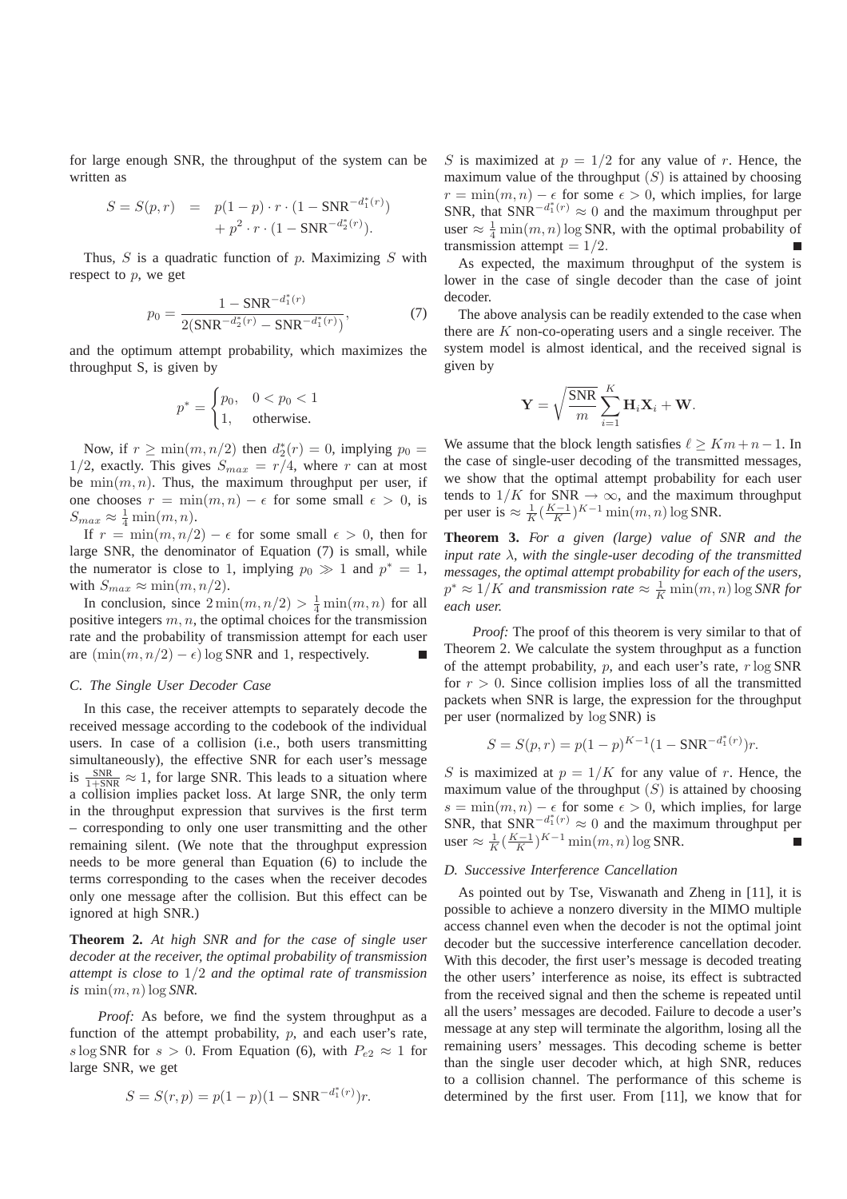for large enough SNR, the throughput of the system can be written as

$$
S = S(p,r) = p(1-p) \cdot r \cdot (1 - SNR^{-d_1^*(r)}) + p^2 \cdot r \cdot (1 - SNR^{-d_2^*(r)}).
$$

Thus,  $S$  is a quadratic function of  $p$ . Maximizing  $S$  with respect to  $p$ , we get

$$
p_0 = \frac{1 - \text{SNR}^{-d_1^*(r)}}{2(\text{SNR}^{-d_2^*(r)} - \text{SNR}^{-d_1^*(r)})},\tag{7}
$$

and the optimum attempt probability, which maximizes the throughput S, is given by

$$
p^* = \begin{cases} p_0, & 0 < p_0 < 1 \\ 1, & \text{otherwise.} \end{cases}
$$

Now, if  $r \ge \min(m, n/2)$  then  $d_2^*(r) = 0$ , implying  $p_0 =$ 1/2, exactly. This gives  $S_{max} = r/4$ , where r can at most be  $\min(m, n)$ . Thus, the maximum throughput per user, if one chooses  $r = \min(m, n) - \epsilon$  for some small  $\epsilon > 0$ , is  $S_{max} \approx \frac{1}{4} \min(m, n).$ 

If  $r = \min(m, n/2) - \epsilon$  for some small  $\epsilon > 0$ , then for large SNR, the denominator of Equation (7) is small, while the numerator is close to 1, implying  $p_0 \gg 1$  and  $p^* = 1$ , with  $S_{max} \approx \min(m, n/2)$ .

In conclusion, since  $2\min(m, n/2) > \frac{1}{4}\min(m, n)$  for all positive integers  $m, n$ , the optimal choices for the transmission rate and the probability of transmission attempt for each user are  $(\min(m, n/2) - \epsilon) \log SNR$  and 1, respectively.

# *C. The Single User Decoder Case*

In this case, the receiver attempts to separately decode the received message according to the codebook of the individual users. In case of a collision (i.e., both users transmitting simultaneously), the effective SNR for each user's message is  $\frac{SNR}{1+SNR} \approx 1$ , for large SNR. This leads to a situation where a collision implies packet loss. At large SNR, the only term in the throughput expression that survives is the first term – corresponding to only one user transmitting and the other remaining silent. (We note that the throughput expression needs to be more general than Equation (6) to include the terms corresponding to the cases when the receiver decodes only one message after the collision. But this effect can be ignored at high SNR.)

**Theorem 2.** *At high SNR and for the case of single user decoder at the receiver, the optimal probability of transmission attempt is close to* 1/2 *and the optimal rate of transmission*  $is min(m, n) log SNR$ .

*Proof:* As before, we find the system throughput as a function of the attempt probability,  $p$ , and each user's rate, s log SNR for  $s > 0$ . From Equation (6), with  $P_{e2} \approx 1$  for large SNR, we get

$$
S=S(r,p)=p(1-p)(1-{\sf SNR}^{-d_1^*(r)})r.
$$

S is maximized at  $p = 1/2$  for any value of r. Hence, the maximum value of the throughput  $(S)$  is attained by choosing  $r = \min(m, n) - \epsilon$  for some  $\epsilon > 0$ , which implies, for large SNR, that SNR<sup> $-d_1^*(r) \approx 0$  and the maximum throughput per</sup> user  $\approx \frac{1}{4} \min(m, n) \log SNR$ , with the optimal probability of transmission attempt  $= 1/2$ .

As expected, the maximum throughput of the system is lower in the case of single decoder than the case of joint decoder.

The above analysis can be readily extended to the case when there are  $K$  non-co-operating users and a single receiver. The system model is almost identical, and the received signal is given by

$$
\mathbf{Y} = \sqrt{\frac{\text{SNR}}{m}} \sum_{i=1}^{K} \mathbf{H}_i \mathbf{X}_i + \mathbf{W}.
$$

We assume that the block length satisfies  $\ell > Km+n-1$ . In the case of single-user decoding of the transmitted messages, we show that the optimal attempt probability for each user tends to  $1/K$  for SNR  $\rightarrow \infty$ , and the maximum throughput per user is  $\approx \frac{1}{K} \left( \frac{K-1}{K} \right)^{K-1} \min(m, n) \log SNR$ .

**Theorem 3.** *For a given (large) value of SNR and the input rate* λ*, with the single-user decoding of the transmitted messages, the optimal attempt probability for each of the users,*  $p^* \approx 1/K$  *and transmission rate*  $\approx \frac{1}{K} \min(m, n) \log SNR$  *for each user.*

*Proof:* The proof of this theorem is very similar to that of Theorem 2. We calculate the system throughput as a function of the attempt probability,  $p$ , and each user's rate,  $r \log SNR$ for  $r > 0$ . Since collision implies loss of all the transmitted packets when SNR is large, the expression for the throughput per user (normalized by log SNR) is

$$
S = S(p,r) = p(1-p)^{K-1}(1 - \text{SNR}^{-d_1^*(r)})r.
$$

S is maximized at  $p = 1/K$  for any value of r. Hence, the maximum value of the throughput  $(S)$  is attained by choosing  $s = \min(m, n) - \epsilon$  for some  $\epsilon > 0$ , which implies, for large SNR, that SNR $^{-d_1^*(r)} \approx 0$  and the maximum throughput per user  $\approx \frac{1}{K}(\frac{K-1}{K})^{K-1} \min(m, n) \log SNR$ .

## *D. Successive Interference Cancellation*

As pointed out by Tse, Viswanath and Zheng in [11], it is possible to achieve a nonzero diversity in the MIMO multiple access channel even when the decoder is not the optimal joint decoder but the successive interference cancellation decoder. With this decoder, the first user's message is decoded treating the other users' interference as noise, its effect is subtracted from the received signal and then the scheme is repeated until all the users' messages are decoded. Failure to decode a user's message at any step will terminate the algorithm, losing all the remaining users' messages. This decoding scheme is better than the single user decoder which, at high SNR, reduces to a collision channel. The performance of this scheme is determined by the first user. From [11], we know that for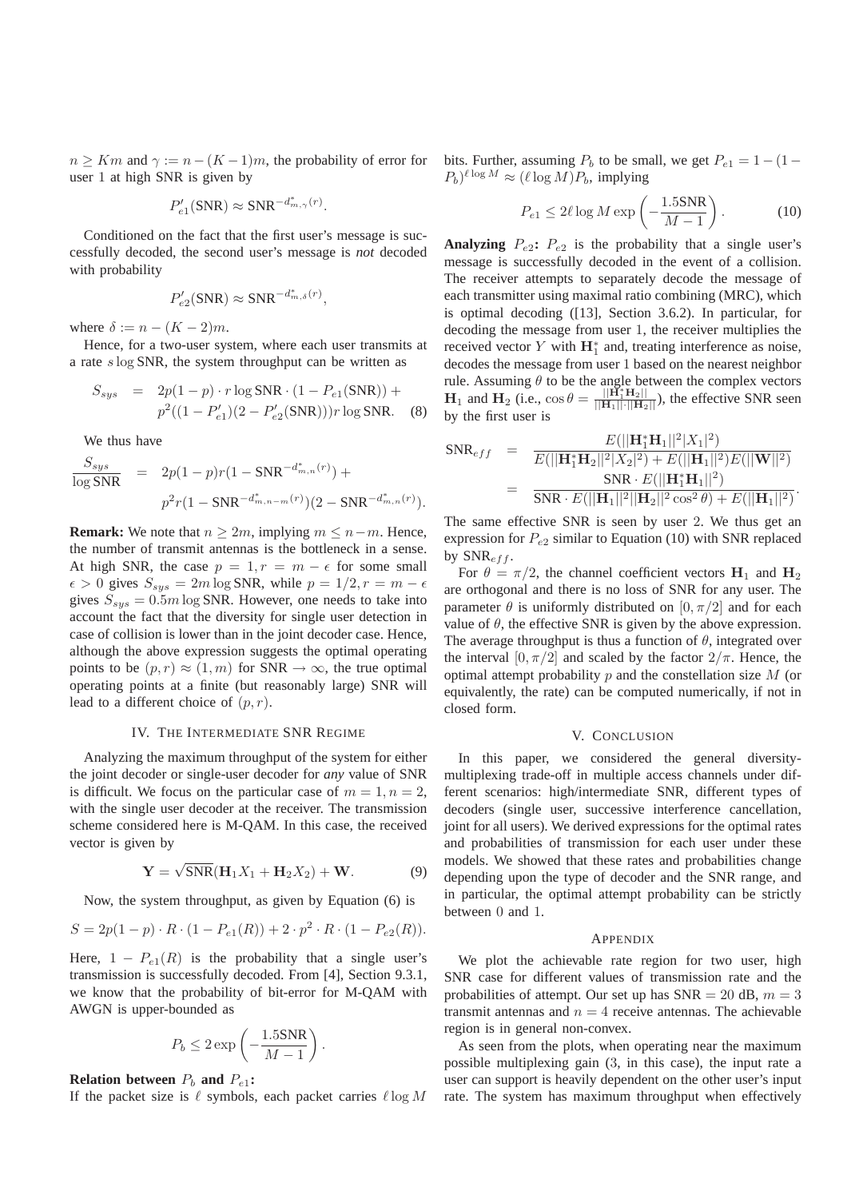$n \geq Km$  and  $\gamma := n - (K - 1)m$ , the probability of error for user 1 at high SNR is given by

$$
P'_{e1}(\text{SNR}) \approx \text{SNR}^{-d_{m,\gamma}^*(r)}.
$$

Conditioned on the fact that the first user's message is successfully decoded, the second user's message is *not* decoded with probability

$$
P'_{e2}(\text{SNR}) \approx \text{SNR}^{-d_{m,\delta}^*(r)},
$$

where  $\delta := n - (K - 2)m$ .

Hence, for a two-user system, where each user transmits at a rate s log SNR, the system throughput can be written as

$$
S_{sys} = 2p(1-p) \cdot r \log SNR \cdot (1 - P_{e1}(SNR)) +
$$
  
\n
$$
p^{2}((1 - P'_{e1})(2 - P'_{e2}(SNR)))r \log SNR.
$$
 (8)

We thus have

$$
\frac{S_{sys}}{\log \text{SNR}} = 2p(1-p)r(1-\text{SNR}^{-d_{m,n}^*(r)}) +
$$
  

$$
p^2r(1-\text{SNR}^{-d_{m,n-m}^*(r)})(2-\text{SNR}^{-d_{m,n}^*(r)}).
$$

**Remark:** We note that  $n \geq 2m$ , implying  $m \leq n-m$ . Hence, the number of transmit antennas is the bottleneck in a sense. At high SNR, the case  $p = 1, r = m - \epsilon$  for some small  $\epsilon > 0$  gives  $S_{sys} = 2m \log SNR$ , while  $p = 1/2, r = m - \epsilon$ gives  $S_{sus} = 0.5m \log SNR$ . However, one needs to take into account the fact that the diversity for single user detection in case of collision is lower than in the joint decoder case. Hence, although the above expression suggests the optimal operating points to be  $(p, r) \approx (1, m)$  for SNR  $\rightarrow \infty$ , the true optimal operating points at a finite (but reasonably large) SNR will lead to a different choice of  $(p, r)$ .

## IV. THE INTERMEDIATE SNR REGIME

Analyzing the maximum throughput of the system for either the joint decoder or single-user decoder for *any* value of SNR is difficult. We focus on the particular case of  $m = 1, n = 2$ , with the single user decoder at the receiver. The transmission scheme considered here is M-QAM. In this case, the received vector is given by

$$
\mathbf{Y} = \sqrt{\text{SNR}} (\mathbf{H}_1 X_1 + \mathbf{H}_2 X_2) + \mathbf{W}.
$$
 (9)

.

Now, the system throughput, as given by Equation (6) is

$$
S = 2p(1-p) \cdot R \cdot (1 - P_{e1}(R)) + 2 \cdot p^2 \cdot R \cdot (1 - P_{e2}(R)).
$$

Here,  $1 - P_{e1}(R)$  is the probability that a single user's transmission is successfully decoded. From [4], Section 9.3.1, we know that the probability of bit-error for M-QAM with AWGN is upper-bounded as

$$
P_b \le 2 \exp\left(-\frac{1.5 \text{SNR}}{M-1}\right)
$$

# **Relation between**  $P_b$  **and**  $P_{e1}$ **:**

If the packet size is  $\ell$  symbols, each packet carries  $\ell \log M$ 

bits. Further, assuming  $P_b$  to be small, we get  $P_{e1} = 1 - (1 (P_b)^{\ell \log M} \approx (\ell \log M) P_b$ , implying

$$
P_{e1} \le 2\ell \log M \exp\left(-\frac{1.5 \text{SNR}}{M-1}\right). \tag{10}
$$

**Analyzing**  $P_{e2}$ :  $P_{e2}$  is the probability that a single user's message is successfully decoded in the event of a collision. The receiver attempts to separately decode the message of each transmitter using maximal ratio combining (MRC), which is optimal decoding ([13], Section 3.6.2). In particular, for decoding the message from user 1, the receiver multiplies the received vector Y with  $\mathbf{H}_1^*$  and, treating interference as noise, decodes the message from user 1 based on the nearest neighbor rule. Assuming  $\theta$  to be the angle between the complex vectors  $H_1$  and  $H_2$  (i.e.,  $\cos \theta = \frac{||\mathbf{H}_1^T \mathbf{H}_2||}{||\mathbf{H}_1|| \cdot ||\mathbf{H}_2||}$ ), the effective SNR seen by the first user is

$$
\begin{array}{rcl} \text{SNR}_{eff} & = & \frac{E(||\mathbf{H}_{1}^{*}\mathbf{H}_{1}||^{2}|X_{1}|^{2})}{E(||\mathbf{H}_{1}^{*}\mathbf{H}_{2}||^{2}|X_{2}|^{2}) + E(||\mathbf{H}_{1}||^{2})E(||\mathbf{W}||^{2})} \\ & = & \frac{\text{SNR} \cdot E(||\mathbf{H}_{1}^{*}\mathbf{H}_{1}||^{2})}{\text{SNR} \cdot E(||\mathbf{H}_{1}||^{2}||\mathbf{H}_{2}||^{2} \cos^{2} \theta) + E(||\mathbf{H}_{1}||^{2})}.\end{array}
$$

The same effective SNR is seen by user 2. We thus get an expression for  $P_{e2}$  similar to Equation (10) with SNR replaced by  $SNR_{eff}$ .

For  $\theta = \pi/2$ , the channel coefficient vectors  $H_1$  and  $H_2$ are orthogonal and there is no loss of SNR for any user. The parameter  $\theta$  is uniformly distributed on  $[0, \pi/2]$  and for each value of  $\theta$ , the effective SNR is given by the above expression. The average throughput is thus a function of  $\theta$ , integrated over the interval  $[0, \pi/2]$  and scaled by the factor  $2/\pi$ . Hence, the optimal attempt probability  $p$  and the constellation size  $M$  (or equivalently, the rate) can be computed numerically, if not in closed form.

## V. CONCLUSION

In this paper, we considered the general diversitymultiplexing trade-off in multiple access channels under different scenarios: high/intermediate SNR, different types of decoders (single user, successive interference cancellation, joint for all users). We derived expressions for the optimal rates and probabilities of transmission for each user under these models. We showed that these rates and probabilities change depending upon the type of decoder and the SNR range, and in particular, the optimal attempt probability can be strictly between 0 and 1.

#### **APPENDIX**

We plot the achievable rate region for two user, high SNR case for different values of transmission rate and the probabilities of attempt. Our set up has  $SNR = 20$  dB,  $m = 3$ transmit antennas and  $n = 4$  receive antennas. The achievable region is in general non-convex.

As seen from the plots, when operating near the maximum possible multiplexing gain (3, in this case), the input rate a user can support is heavily dependent on the other user's input rate. The system has maximum throughput when effectively